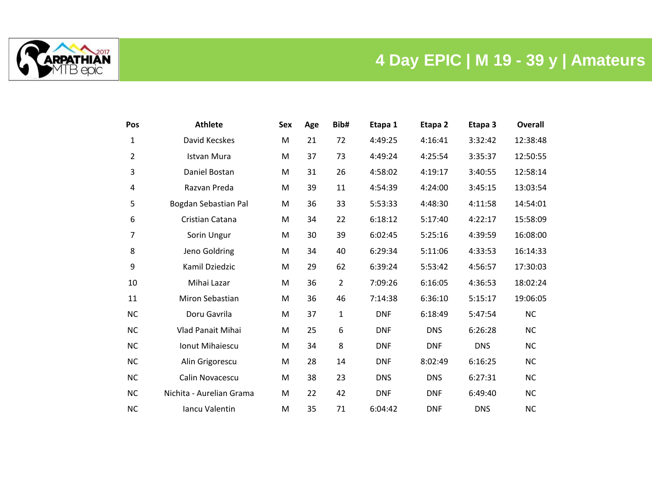

## **4 Day EPIC | M 19 - 39 y | Amateurs**

| Pos            | <b>Athlete</b>           | Sex | Age | Bib# | Etapa 1    | Etapa <sub>2</sub> | Etapa 3    | <b>Overall</b> |
|----------------|--------------------------|-----|-----|------|------------|--------------------|------------|----------------|
| 1              | David Kecskes            | M   | 21  | 72   | 4:49:25    | 4:16:41            | 3:32:42    | 12:38:48       |
| $\overline{2}$ | <b>Istvan Mura</b>       | M   | 37  | 73   | 4:49:24    | 4:25:54            | 3:35:37    | 12:50:55       |
| 3              | Daniel Bostan            | M   | 31  | 26   | 4:58:02    | 4:19:17            | 3:40:55    | 12:58:14       |
| 4              | Razvan Preda             | M   | 39  | 11   | 4:54:39    | 4:24:00            | 3:45:15    | 13:03:54       |
| 5              | Bogdan Sebastian Pal     | M   | 36  | 33   | 5:53:33    | 4:48:30            | 4:11:58    | 14:54:01       |
| 6              | Cristian Catana          | M   | 34  | 22   | 6:18:12    | 5:17:40            | 4:22:17    | 15:58:09       |
| 7              | Sorin Ungur              | M   | 30  | 39   | 6:02:45    | 5:25:16            | 4:39:59    | 16:08:00       |
| 8              | Jeno Goldring            | M   | 34  | 40   | 6:29:34    | 5:11:06            | 4:33:53    | 16:14:33       |
| 9              | Kamil Dziedzic           | M   | 29  | 62   | 6:39:24    | 5:53:42            | 4:56:57    | 17:30:03       |
| 10             | Mihai Lazar              | M   | 36  | 2    | 7:09:26    | 6:16:05            | 4:36:53    | 18:02:24       |
| 11             | Miron Sebastian          | M   | 36  | 46   | 7:14:38    | 6:36:10            | 5:15:17    | 19:06:05       |
| <b>NC</b>      | Doru Gavrila             | M   | 37  | 1    | <b>DNF</b> | 6:18:49            | 5:47:54    | <b>NC</b>      |
| <b>NC</b>      | Vlad Panait Mihai        | M   | 25  | 6    | <b>DNF</b> | <b>DNS</b>         | 6:26:28    | <b>NC</b>      |
| <b>NC</b>      | <b>Ionut Mihaiescu</b>   | M   | 34  | 8    | <b>DNF</b> | <b>DNF</b>         | <b>DNS</b> | <b>NC</b>      |
| <b>NC</b>      | Alin Grigorescu          | M   | 28  | 14   | <b>DNF</b> | 8:02:49            | 6:16:25    | <b>NC</b>      |
| <b>NC</b>      | Calin Novacescu          | M   | 38  | 23   | <b>DNS</b> | <b>DNS</b>         | 6:27:31    | <b>NC</b>      |
| <b>NC</b>      | Nichita - Aurelian Grama | M   | 22  | 42   | <b>DNF</b> | <b>DNF</b>         | 6:49:40    | <b>NC</b>      |
| <b>NC</b>      | Iancu Valentin           | M   | 35  | 71   | 6:04:42    | <b>DNF</b>         | <b>DNS</b> | <b>NC</b>      |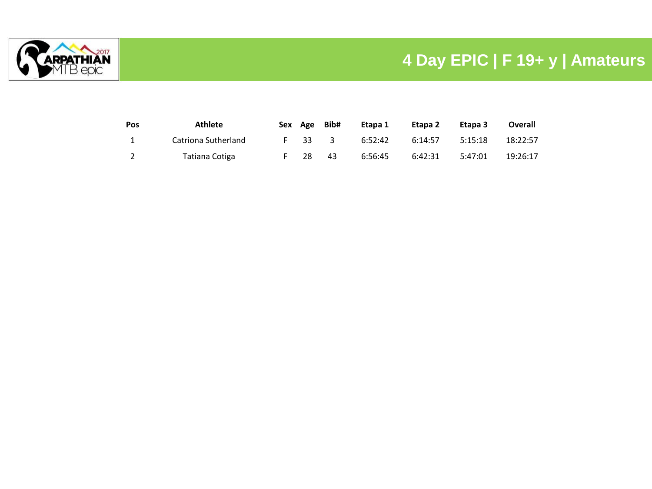

## **4 Day EPIC | F 19+ y | Amateurs**

| Pos | <b>Athlete</b>      | Sex Age | Bib# | Etapa 1 | Etapa 2 | Etapa 3 | Overall  |
|-----|---------------------|---------|------|---------|---------|---------|----------|
|     | Catriona Sutherland | F 33 3  |      | 6:52:42 | 6:14:57 | 5:15:18 | 18:22:57 |
|     | Tatiana Cotiga      | 28      | 43   | 6:56:45 | 6:42:31 | 5:47:01 | 19:26:17 |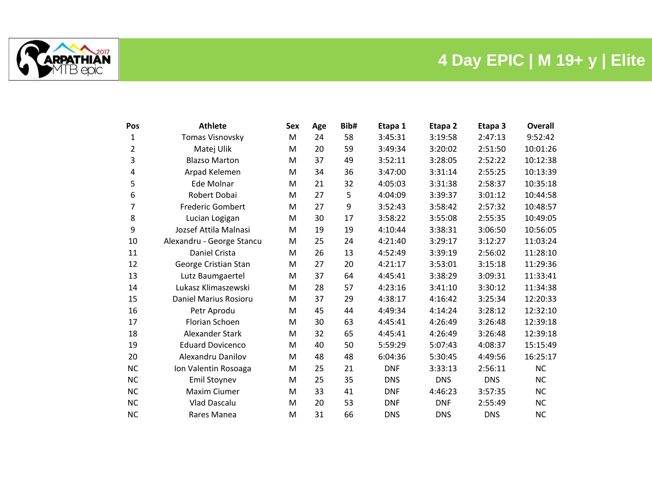



| Pos       | <b>Athlete</b>            | Sex | Age | Bib# | Etapa 1    | Etapa <sub>2</sub> | Etapa 3    | Overall   |
|-----------|---------------------------|-----|-----|------|------------|--------------------|------------|-----------|
| 1         | Tomas Visnovsky           | M   | 24  | 58   | 3:45:31    | 3:19:58            | 2:47:13    | 9:52:42   |
| 2         | Matej Ulik                | M   | 20  | 59   | 3:49:34    | 3:20:02            | 2:51:50    | 10:01:26  |
| 3         | <b>Blazso Marton</b>      | м   | 37  | 49   | 3:52:11    | 3:28:05            | 2:52:22    | 10:12:38  |
| 4         | Arpad Kelemen             | M   | 34  | 36   | 3:47:00    | 3:31:14            | 2:55:25    | 10:13:39  |
| 5         | Ede Molnar                | M   | 21  | 32   | 4:05:03    | 3:31:38            | 2:58:37    | 10:35:18  |
| 6         | Robert Dobai              | M   | 27  | 5    | 4:04:09    | 3:39:37            | 3:01:12    | 10:44:58  |
| 7         | <b>Frederic Gombert</b>   | м   | 27  | 9    | 3:52:43    | 3:58:42            | 2:57:32    | 10:48:57  |
| 8         | Lucian Logigan            | M   | 30  | 17   | 3:58:22    | 3:55:08            | 2:55:35    | 10:49:05  |
| 9         | Jozsef Attila Malnasi     | м   | 19  | 19   | 4:10:44    | 3:38:31            | 3:06:50    | 10:56:05  |
| 10        | Alexandru - George Stancu | M   | 25  | 24   | 4:21:40    | 3:29:17            | 3:12:27    | 11:03:24  |
| 11        | Daniel Crista             | M   | 26  | 13   | 4:52:49    | 3:39:19            | 2:56:02    | 11:28:10  |
| 12        | George Cristian Stan      | M   | 27  | 20   | 4:21:17    | 3:53:01            | 3:15:18    | 11:29:36  |
| 13        | Lutz Baumgaertel          | м   | 37  | 64   | 4:45:41    | 3:38:29            | 3:09:31    | 11:33:41  |
| 14        | Lukasz Klimaszewski       | M   | 28  | 57   | 4:23:16    | 3:41:10            | 3:30:12    | 11:34:38  |
| 15        | Daniel Marius Rosioru     | M   | 37  | 29   | 4:38:17    | 4:16:42            | 3:25:34    | 12:20:33  |
| 16        | Petr Aprodu               | M   | 45  | 44   | 4:49:34    | 4:14:24            | 3:28:12    | 12:32:10  |
| 17        | Florian Schoen            | м   | 30  | 63   | 4:45:41    | 4:26:49            | 3:26:48    | 12:39:18  |
| 18        | Alexander Stark           | м   | 32  | 65   | 4:45:41    | 4:26:49            | 3:26:48    | 12:39:18  |
| 19        | <b>Eduard Dovicenco</b>   | M   | 40  | 50   | 5:59:29    | 5:07:43            | 4:08:37    | 15:15:49  |
| 20        | Alexandru Danilov         | M   | 48  | 48   | 6:04:36    | 5:30:45            | 4:49:56    | 16:25:17  |
| <b>NC</b> | Ion Valentin Rosoaga      | M   | 25  | 21   | <b>DNF</b> | 3:33:13            | 2:56:11    | NC        |
| <b>NC</b> | Emil Stoynev              | м   | 25  | 35   | <b>DNS</b> | <b>DNS</b>         | <b>DNS</b> | <b>NC</b> |
| NC        | Maxim Ciumer              | M   | 33  | 41   | <b>DNF</b> | 4:46:23            | 3:57:35    | <b>NC</b> |
| <b>NC</b> | <b>Vlad Dascalu</b>       | M   | 20  | 53   | <b>DNF</b> | <b>DNF</b>         | 2:55:49    | <b>NC</b> |
| <b>NC</b> | Rares Manea               | M   | 31  | 66   | <b>DNS</b> | <b>DNS</b>         | <b>DNS</b> | <b>NC</b> |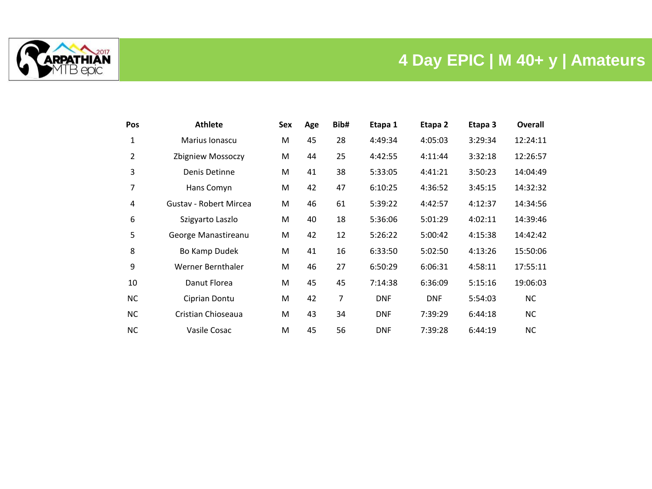

## **4 Day EPIC | M 40+ y | Amateurs**

| Pos       | <b>Athlete</b>                | Sex | Age | Bib# | Etapa 1    | Etapa 2    | Etapa 3 | <b>Overall</b> |
|-----------|-------------------------------|-----|-----|------|------------|------------|---------|----------------|
| 1         | Marius Ionascu                | M   | 45  | 28   | 4:49:34    | 4:05:03    | 3:29:34 | 12:24:11       |
| 2         | Zbigniew Mossoczy             | M   | 44  | 25   | 4:42:55    | 4:11:44    | 3:32:18 | 12:26:57       |
| 3         | Denis Detinne                 | M   | 41  | 38   | 5:33:05    | 4:41:21    | 3:50:23 | 14:04:49       |
| 7         | Hans Comyn                    | M   | 42  | 47   | 6:10:25    | 4:36:52    | 3:45:15 | 14:32:32       |
| 4         | <b>Gustav - Robert Mircea</b> | M   | 46  | 61   | 5:39:22    | 4:42:57    | 4:12:37 | 14:34:56       |
| 6         | Szigyarto Laszlo              | M   | 40  | 18   | 5:36:06    | 5:01:29    | 4:02:11 | 14:39:46       |
| 5         | George Manastireanu           | M   | 42  | 12   | 5:26:22    | 5:00:42    | 4:15:38 | 14:42:42       |
| 8         | Bo Kamp Dudek                 | M   | 41  | 16   | 6:33:50    | 5:02:50    | 4:13:26 | 15:50:06       |
| 9         | Werner Bernthaler             | M   | 46  | 27   | 6:50:29    | 6:06:31    | 4:58:11 | 17:55:11       |
| 10        | Danut Florea                  | M   | 45  | 45   | 7:14:38    | 6:36:09    | 5:15:16 | 19:06:03       |
| NC.       | Ciprian Dontu                 | M   | 42  | 7    | <b>DNF</b> | <b>DNF</b> | 5:54:03 | <b>NC</b>      |
| NC.       | Cristian Chioseaua            | M   | 43  | 34   | <b>DNF</b> | 7:39:29    | 6:44:18 | <b>NC</b>      |
| <b>NC</b> | Vasile Cosac                  | M   | 45  | 56   | <b>DNF</b> | 7:39:28    | 6:44:19 | <b>NC</b>      |